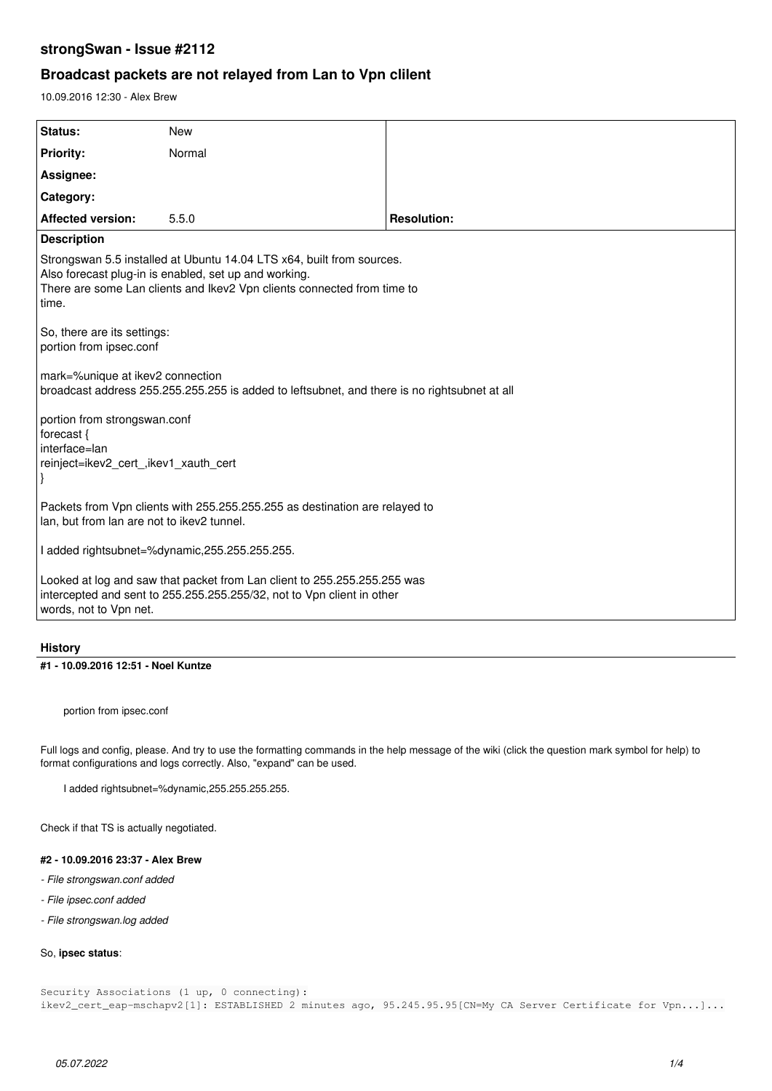# **strongSwan - Issue #2112**

# **Broadcast packets are not relayed from Lan to Vpn clilent**

10.09.2016 12:30 - Alex Brew

| Status:                                                                                                                                                                                                            | <b>New</b> |                    |  |  |
|--------------------------------------------------------------------------------------------------------------------------------------------------------------------------------------------------------------------|------------|--------------------|--|--|
| <b>Priority:</b>                                                                                                                                                                                                   | Normal     |                    |  |  |
| Assignee:                                                                                                                                                                                                          |            |                    |  |  |
| Category:                                                                                                                                                                                                          |            |                    |  |  |
| <b>Affected version:</b>                                                                                                                                                                                           | 5.5.0      | <b>Resolution:</b> |  |  |
| <b>Description</b>                                                                                                                                                                                                 |            |                    |  |  |
| Strongswan 5.5 installed at Ubuntu 14.04 LTS x64, built from sources.<br>Also forecast plug-in is enabled, set up and working.<br>There are some Lan clients and Ikev2 Vpn clients connected from time to<br>time. |            |                    |  |  |
| So, there are its settings:<br>portion from ipsec.conf                                                                                                                                                             |            |                    |  |  |
| mark=%unique at ikev2 connection<br>broadcast address 255.255.255.255 is added to leftsubnet, and there is no rightsubnet at all                                                                                   |            |                    |  |  |
| portion from strongswan.conf<br>forecast {<br>interface=lan<br>reinject=ikev2 cert, ikev1 xauth cert                                                                                                               |            |                    |  |  |
| Packets from Vpn clients with 255.255.255.255 as destination are relayed to<br>lan, but from lan are not to ikev2 tunnel.                                                                                          |            |                    |  |  |
| I added rightsubnet=%dynamic,255.255.255.255.                                                                                                                                                                      |            |                    |  |  |
| Looked at log and saw that packet from Lan client to 255.255.255.255 was<br>intercepted and sent to 255.255.255.255/32, not to Vpn client in other<br>words, not to Vpn net.                                       |            |                    |  |  |

### **History**

#### **#1 - 10.09.2016 12:51 - Noel Kuntze**

portion from ipsec.conf

Full logs and config, please. And try to use the formatting commands in the help message of the wiki (click the question mark symbol for help) to format configurations and logs correctly. Also, "expand" can be used.

I added rightsubnet=%dynamic,255.255.255.255.

Check if that TS is actually negotiated.

## **#2 - 10.09.2016 23:37 - Alex Brew**

- *File strongswan.conf added*
- *File ipsec.conf added*
- *File strongswan.log added*

## So, **ipsec status**:

Security Associations (1 up, 0 connecting): ikev2\_cert\_eap-mschapv2[1]: ESTABLISHED 2 minutes ago, 95.245.95.95[CN=My CA Server Certificate for Vpn...]...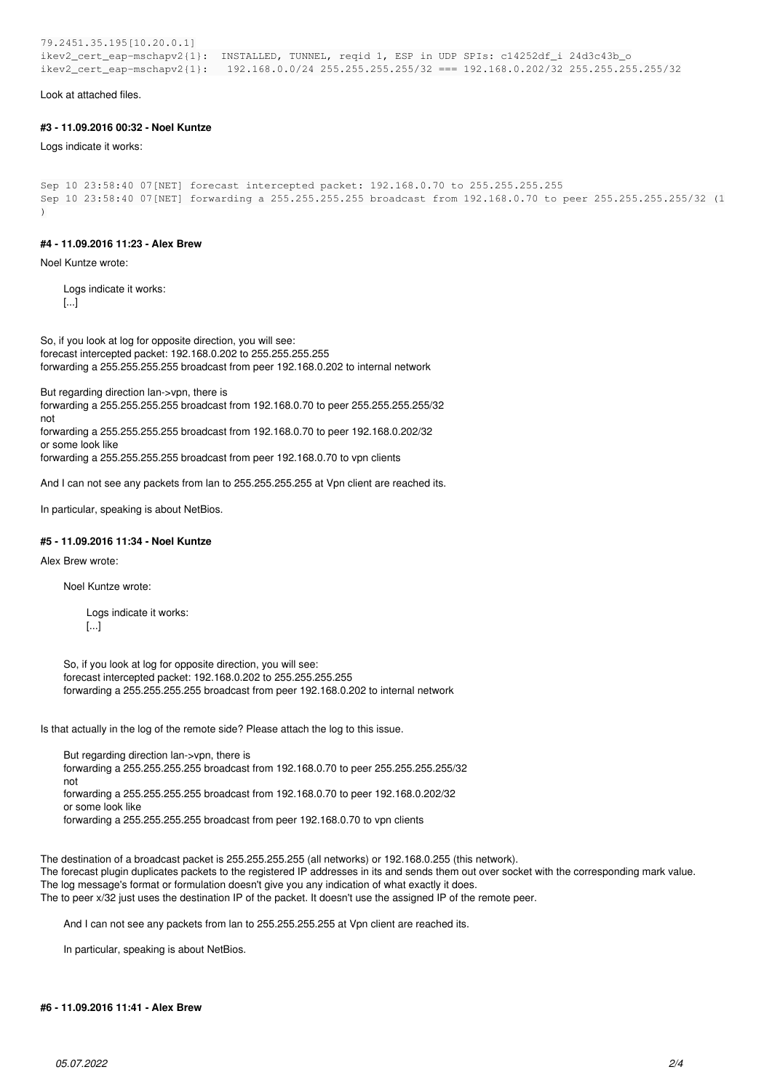79.2451.35.195[10.20.0.1] ikev2\_cert\_eap-mschapv2{1}: INSTALLED, TUNNEL, reqid 1, ESP in UDP SPIs: c14252df\_i 24d3c43b\_o ikev2\_cert\_eap-mschapv2{1}: 192.168.0.0/24 255.255.255.255/32 === 192.168.0.202/32 255.255.255.255/32

Look at attached files.

#### **#3 - 11.09.2016 00:32 - Noel Kuntze**

Logs indicate it works:

```
Sep 10 23:58:40 07[NET] forecast intercepted packet: 192.168.0.70 to 255.255.255.255
Sep 10 23:58:40 07[NET] forwarding a 255.255.255.255 broadcast from 192.168.0.70 to peer 255.255.255.255/32 (1
)
```
#### **#4 - 11.09.2016 11:23 - Alex Brew**

Noel Kuntze wrote:

Logs indicate it works: [...]

So, if you look at log for opposite direction, you will see: forecast intercepted packet: 192.168.0.202 to 255.255.255.255 forwarding a 255.255.255.255 broadcast from peer 192.168.0.202 to internal network

But regarding direction lan->vpn, there is

forwarding a 255.255.255.255 broadcast from 192.168.0.70 to peer 255.255.255.255/32 not

forwarding a 255.255.255.255 broadcast from 192.168.0.70 to peer 192.168.0.202/32 or some look like

forwarding a 255.255.255.255 broadcast from peer 192.168.0.70 to vpn clients

And I can not see any packets from lan to 255.255.255.255 at Vpn client are reached its.

In particular, speaking is about NetBios.

#### **#5 - 11.09.2016 11:34 - Noel Kuntze**

Alex Brew wrote:

Noel Kuntze wrote:

Logs indicate it works: [...]

So, if you look at log for opposite direction, you will see: forecast intercepted packet: 192.168.0.202 to 255.255.255.255 forwarding a 255.255.255.255 broadcast from peer 192.168.0.202 to internal network

Is that actually in the log of the remote side? Please attach the log to this issue.

But regarding direction lan->vpn, there is forwarding a 255.255.255.255 broadcast from 192.168.0.70 to peer 255.255.255.255/32 not forwarding a 255.255.255.255 broadcast from 192.168.0.70 to peer 192.168.0.202/32 or some look like forwarding a 255.255.255.255 broadcast from peer 192.168.0.70 to vpn clients

The destination of a broadcast packet is 255.255.255.255 (all networks) or 192.168.0.255 (this network). The forecast plugin duplicates packets to the registered IP addresses in its and sends them out over socket with the corresponding mark value. The log message's format or formulation doesn't give you any indication of what exactly it does. The to peer x/32 just uses the destination IP of the packet. It doesn't use the assigned IP of the remote peer.

And I can not see any packets from lan to 255.255.255.255 at Vpn client are reached its.

In particular, speaking is about NetBios.

#### **#6 - 11.09.2016 11:41 - Alex Brew**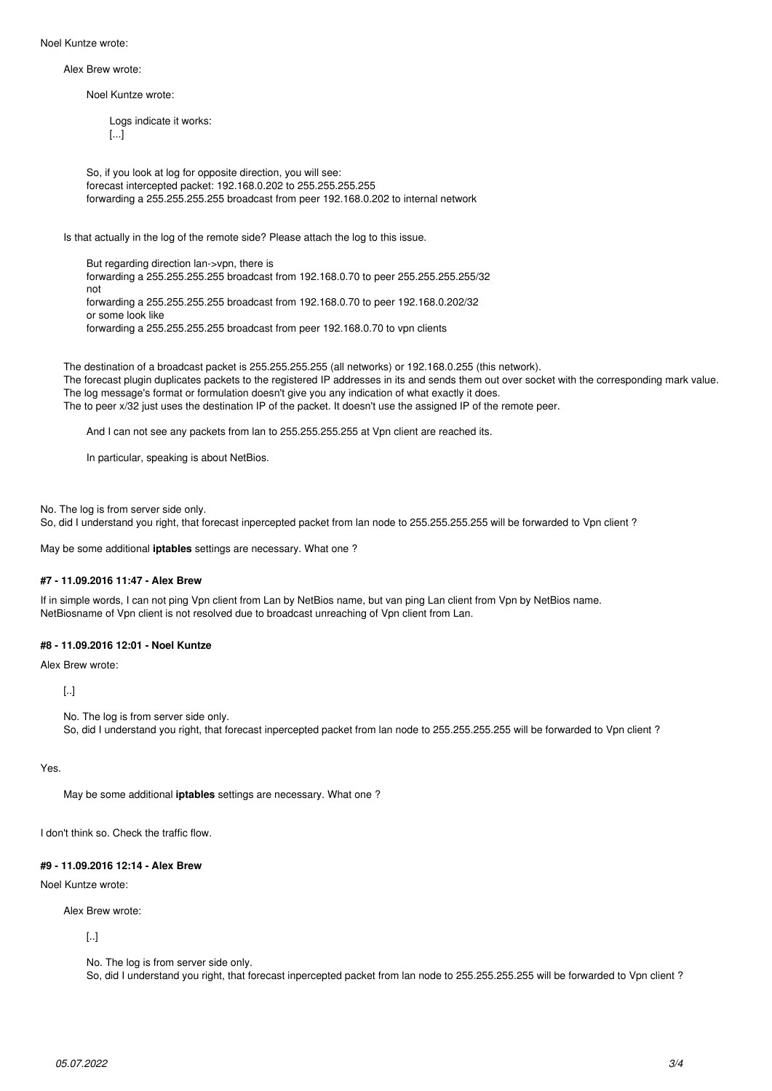Noel Kuntze wrote:

Alex Brew wrote:

Noel Kuntze wrote:

Logs indicate it works: [...]

So, if you look at log for opposite direction, you will see: forecast intercepted packet: 192.168.0.202 to 255.255.255.255 forwarding a 255.255.255.255 broadcast from peer 192.168.0.202 to internal network

Is that actually in the log of the remote side? Please attach the log to this issue.

But regarding direction lan->vpn, there is forwarding a 255.255.255.255 broadcast from 192.168.0.70 to peer 255.255.255.255/32 not forwarding a 255.255.255.255 broadcast from 192.168.0.70 to peer 192.168.0.202/32 or some look like forwarding a 255.255.255.255 broadcast from peer 192.168.0.70 to vpn clients

The destination of a broadcast packet is 255.255.255.255 (all networks) or 192.168.0.255 (this network). The forecast plugin duplicates packets to the registered IP addresses in its and sends them out over socket with the corresponding mark value. The log message's format or formulation doesn't give you any indication of what exactly it does. The to peer x/32 just uses the destination IP of the packet. It doesn't use the assigned IP of the remote peer.

And I can not see any packets from lan to 255.255.255.255 at Vpn client are reached its.

In particular, speaking is about NetBios.

No. The log is from server side only.

So, did I understand you right, that forecast inpercepted packet from lan node to 255.255.255.255 will be forwarded to Vpn client ?

May be some additional **iptables** settings are necessary. What one ?

### **#7 - 11.09.2016 11:47 - Alex Brew**

If in simple words, I can not ping Vpn client from Lan by NetBios name, but van ping Lan client from Vpn by NetBios name. NetBiosname of Vpn client is not resolved due to broadcast unreaching of Vpn client from Lan.

## **#8 - 11.09.2016 12:01 - Noel Kuntze**

Alex Brew wrote:

[..]

No. The log is from server side only.

So, did I understand you right, that forecast inpercepted packet from lan node to 255.255.255.255 will be forwarded to Vpn client ?

Yes.

May be some additional **iptables** settings are necessary. What one ?

I don't think so. Check the traffic flow.

### **#9 - 11.09.2016 12:14 - Alex Brew**

# Noel Kuntze wrote:

Alex Brew wrote:

[..]

No. The log is from server side only.

So, did I understand you right, that forecast inpercepted packet from lan node to 255.255.255.255 will be forwarded to Vpn client ?